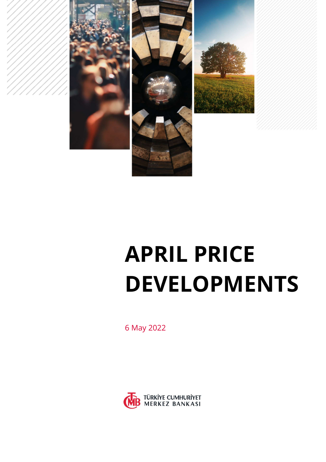

# APRIL PRICE DEVELOPMENTS

6 May 2022

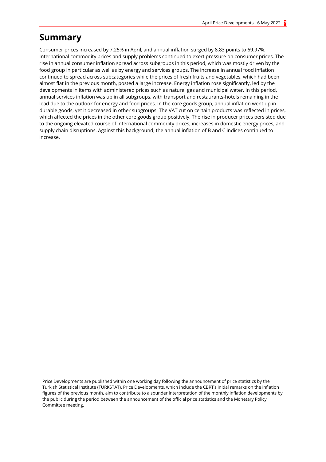# Summary

Consumer prices increased by 7.25% in April, and annual inflation surged by 8.83 points to 69.97%. International commodity prices and supply problems continued to exert pressure on consumer prices. The rise in annual consumer inflation spread across subgroups in this period, which was mostly driven by the food group in particular as well as by energy and services groups. The increase in annual food inflation continued to spread across subcategories while the prices of fresh fruits and vegetables, which had been almost flat in the previous month, posted a large increase. Energy inflation rose significantly, led by the developments in items with administered prices such as natural gas and municipal water. In this period, annual services inflation was up in all subgroups, with transport and restaurants-hotels remaining in the lead due to the outlook for energy and food prices. In the core goods group, annual inflation went up in durable goods, yet it decreased in other subgroups. The VAT cut on certain products was reflected in prices, which affected the prices in the other core goods group positively. The rise in producer prices persisted due to the ongoing elevated course of international commodity prices, increases in domestic energy prices, and supply chain disruptions. Against this background, the annual inflation of B and C indices continued to increase.

Price Developments are published within one working day following the announcement of price statistics by the Turkish Statistical Institute (TURKSTAT). Price Developments, which include the CBRT's initial remarks on the inflation figures of the previous month, aim to contribute to a sounder interpretation of the monthly inflation developments by the public during the period between the announcement of the official price statistics and the Monetary Policy Committee meeting.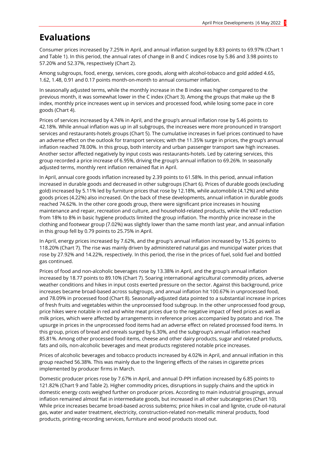# Evaluations

Consumer prices increased by 7.25% in April, and annual inflation surged by 8.83 points to 69.97% (Chart 1 and Table 1). In this period, the annual rates of change in B and C indices rose by 5.86 and 3.98 points to 57.20% and 52.37%, respectively (Chart 2).

Among subgroups, food, energy, services, core goods, along with alcohol-tobacco and gold added 4.65, 1.62, 1.48, 0.91 and 0.17 points month-on-month to annual consumer inflation.

In seasonally adjusted terms, while the monthly increase in the B index was higher compared to the previous month, it was somewhat lower in the C index (Chart 3). Among the groups that make up the B index, monthly price increases went up in services and processed food, while losing some pace in core goods (Chart 4).

Prices of services increased by 4.74% in April, and the group's annual inflation rose by 5.46 points to 42.18%. While annual inflation was up in all subgroups, the increases were more pronounced in transport services and restaurants-hotels groups (Chart 5). The cumulative increases in fuel prices continued to have an adverse effect on the outlook for transport services; with the 11.35% surge in prices, the group's annual inflation reached 78.00%. In this group, both intercity and urban passenger transport saw high increases. Another sector affected negatively by input costs was restaurants-hotels. Led by catering services, this group recorded a price increase of 6.95%, driving the group's annual inflation to 69.26%. In seasonally adjusted terms, monthly rent inflation remained flat in April.

In April, annual core goods inflation increased by 2.39 points to 61.58%. In this period, annual inflation increased in durable goods and decreased in other subgroups (Chart 6). Prices of durable goods (excluding gold) increased by 5.11% led by furniture prices that rose by 12.18%, while automobile (4.12%) and white goods prices (4.22%) also increased. On the back of these developments, annual inflation in durable goods reached 74.62%. In the other core goods group, there were significant price increases in housing maintenance and repair, recreation and culture, and household-related products, while the VAT reduction from 18% to 8% in basic hygiene products limited the group inflation. The monthly price increase in the clothing and footwear group (7.02%) was slightly lower than the same month last year, and annual inflation in this group fell by 0.79 points to 25.75% in April.

In April, energy prices increased by 7.62%, and the group's annual inflation increased by 15.26 points to 118.20% (Chart 7). The rise was mainly driven by administered natural gas and municipal water prices that rose by 27.92% and 14.22%, respectively. In this period, the rise in the prices of fuel, solid fuel and bottled gas continued.

Prices of food and non-alcoholic beverages rose by 13.38% in April, and the group's annual inflation increased by 18.77 points to 89.10% (Chart 7). Soaring international agricultural commodity prices, adverse weather conditions and hikes in input costs exerted pressure on the sector. Against this background, price increases became broad-based across subgroups, and annual inflation hit 100.67% in unprocessed food, and 78.09% in processed food (Chart 8). Seasonally-adjusted data pointed to a substantial increase in prices of fresh fruits and vegetables within the unprocessed food subgroup. In the other unprocessed food group, price hikes were notable in red and white meat prices due to the negative impact of feed prices as well as milk prices, which were affected by arrangements in reference prices accompanied by potato and rice. The upsurge in prices in the unprocessed food items had an adverse effect on related processed food items. In this group, prices of bread and cereals surged by 6.30%, and the subgroup's annual inflation reached 85.81%. Among other processed food items, cheese and other dairy products, sugar and related products, fats and oils, non-alcoholic beverages and meat products registered notable price increases.

Prices of alcoholic beverages and tobacco products increased by 4.02% in April, and annual inflation in this group reached 56.38%. This was mainly due to the lingering effects of the raises in cigarette prices implemented by producer firms in March.

Domestic producer prices rose by 7.67% in April, and annual D-PPI inflation increased by 6.85 points to 121.82% (Chart 9 and Table 2). Higher commodity prices, disruptions in supply chains and the uptick in domestic energy costs weighed further on producer prices. According to main industrial groupings, annual inflation remained almost flat in intermediate goods, but increased in all other subcategories (Chart 10). While price increases became broad-based across subitems; price hikes in coal and lignite, crude oil-natural gas, water and water treatment, electricity, construction-related non-metallic mineral products, food products, printing-recording services, furniture and wood products stood out.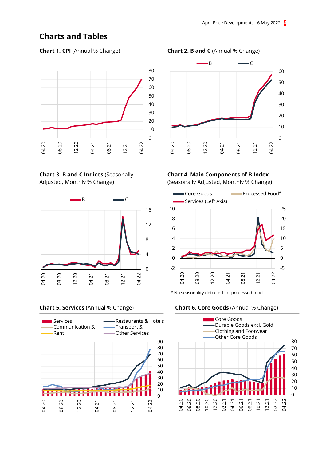# Charts and Tables



Chart 3. B and C Indices (Seasonally Adjusted, Monthly % Change)





#### Chart 1. CPI (Annual % Change) Chart 2. B and C (Annual % Change)



#### Chart 4. Main Components of B Index

(Seasonally Adjusted, Monthly % Change)



\* No seasonality detected for processed food.

#### Chart 5. Services (Annual % Change) Chart 6. Core Goods (Annual % Change)

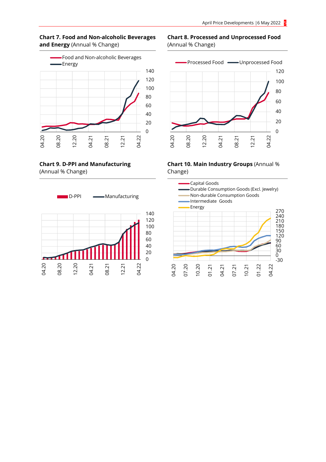



Chart 9. D-PPI and Manufacturing (Annual % Change)



### Chart 8. Processed and Unprocessed Food (Annual % Change)



#### Chart 10. Main Industry Groups (Annual % Change)

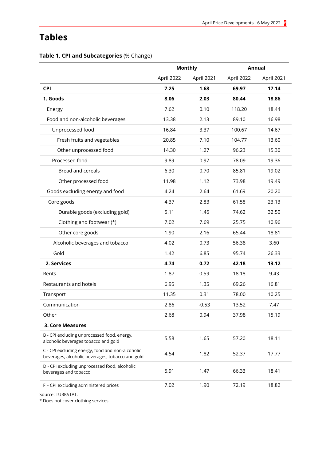# Tables

|  |  |  | Table 1. CPI and Subcategories (% Change) |  |  |
|--|--|--|-------------------------------------------|--|--|
|--|--|--|-------------------------------------------|--|--|

|                                                                                                      | <b>Monthly</b> |            | Annual     |            |  |
|------------------------------------------------------------------------------------------------------|----------------|------------|------------|------------|--|
|                                                                                                      | April 2022     | April 2021 | April 2022 | April 2021 |  |
| <b>CPI</b>                                                                                           | 7.25           | 1.68       | 69.97      | 17.14      |  |
| 1. Goods                                                                                             | 8.06           | 2.03       | 80.44      | 18.86      |  |
| Energy                                                                                               | 7.62           | 0.10       | 118.20     | 18.44      |  |
| Food and non-alcoholic beverages                                                                     | 13.38          | 2.13       | 89.10      | 16.98      |  |
| Unprocessed food                                                                                     | 16.84          | 3.37       | 100.67     | 14.67      |  |
| Fresh fruits and vegetables                                                                          | 20.85          | 7.10       | 104.77     | 13.60      |  |
| Other unprocessed food                                                                               | 14.30          | 1.27       | 96.23      | 15.30      |  |
| Processed food                                                                                       | 9.89           | 0.97       | 78.09      | 19.36      |  |
| <b>Bread and cereals</b>                                                                             | 6.30           | 0.70       | 85.81      | 19.02      |  |
| Other processed food                                                                                 | 11.98          | 1.12       | 73.98      | 19.49      |  |
| Goods excluding energy and food                                                                      | 4.24           | 2.64       | 61.69      | 20.20      |  |
| Core goods                                                                                           | 4.37           | 2.83       | 61.58      | 23.13      |  |
| Durable goods (excluding gold)                                                                       | 5.11           | 1.45       | 74.62      | 32.50      |  |
| Clothing and footwear (*)                                                                            | 7.02           | 7.69       | 25.75      | 10.96      |  |
| Other core goods                                                                                     | 1.90           | 2.16       | 65.44      | 18.81      |  |
| Alcoholic beverages and tobacco                                                                      | 4.02           | 0.73       | 56.38      | 3.60       |  |
| Gold                                                                                                 | 1.42           | 6.85       | 95.74      | 26.33      |  |
| 2. Services                                                                                          | 4.74           | 0.72       | 42.18      | 13.12      |  |
| Rents                                                                                                | 1.87           | 0.59       | 18.18      | 9.43       |  |
| Restaurants and hotels                                                                               | 6.95           | 1.35       | 69.26      | 16.81      |  |
| Transport                                                                                            | 11.35          | 0.31       | 78.00      | 10.25      |  |
| Communication                                                                                        | 2.86           | $-0.53$    | 13.52      | 7.47       |  |
| Other                                                                                                | 2.68           | 0.94       | 37.98      | 15.19      |  |
| <b>3. Core Measures</b>                                                                              |                |            |            |            |  |
| B - CPI excluding unprocessed food, energy,<br>alcoholic beverages tobacco and gold                  | 5.58           | 1.65       | 57.20      | 18.11      |  |
| C - CPI excluding energy, food and non-alcoholic<br>beverages, alcoholic beverages, tobacco and gold | 4.54           | 1.82       | 52.37      | 17.77      |  |
| D - CPI excluding unprocessed food, alcoholic<br>beverages and tobacco                               | 5.91           | 1.47       | 66.33      | 18.41      |  |
| F - CPI excluding administered prices                                                                | 7.02           | 1.90       | 72.19      | 18.82      |  |

Source: TURKSTAT.

\* Does not cover clothing services.